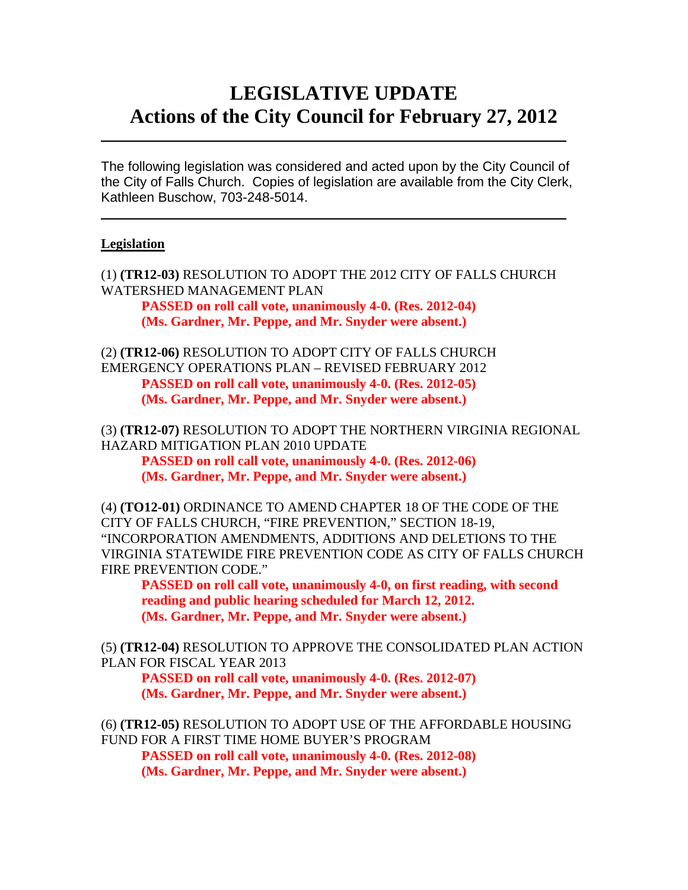# **LEGISLATIVE UPDATE Actions of the City Council for February 27, 2012**

The following legislation was considered and acted upon by the City Council of the City of Falls Church. Copies of legislation are available from the City Clerk, Kathleen Buschow, 703-248-5014.

 $\blacksquare$ 

 $\mathcal{L}_\text{max}$  and  $\mathcal{L}_\text{max}$  and  $\mathcal{L}_\text{max}$  and  $\mathcal{L}_\text{max}$  and  $\mathcal{L}_\text{max}$  and  $\mathcal{L}_\text{max}$ 

#### **Legislation**

(1) **(TR12-03)** RESOLUTION TO ADOPT THE 2012 CITY OF FALLS CHURCH WATERSHED MANAGEMENT PLAN

 **PASSED on roll call vote, unanimously 4-0. (Res. 2012-04) (Ms. Gardner, Mr. Peppe, and Mr. Snyder were absent.)** 

(2) **(TR12-06)** RESOLUTION TO ADOPT CITY OF FALLS CHURCH EMERGENCY OPERATIONS PLAN – REVISED FEBRUARY 2012  **PASSED on roll call vote, unanimously 4-0. (Res. 2012-05) (Ms. Gardner, Mr. Peppe, and Mr. Snyder were absent.)** 

(3) **(TR12-07)** RESOLUTION TO ADOPT THE NORTHERN VIRGINIA REGIONAL HAZARD MITIGATION PLAN 2010 UPDATE

 **PASSED on roll call vote, unanimously 4-0. (Res. 2012-06) (Ms. Gardner, Mr. Peppe, and Mr. Snyder were absent.)** 

(4) **(TO12-01)** ORDINANCE TO AMEND CHAPTER 18 OF THE CODE OF THE CITY OF FALLS CHURCH, "FIRE PREVENTION," SECTION 18-19, "INCORPORATION AMENDMENTS, ADDITIONS AND DELETIONS TO THE VIRGINIA STATEWIDE FIRE PREVENTION CODE AS CITY OF FALLS CHURCH FIRE PREVENTION CODE."

 **PASSED on roll call vote, unanimously 4-0, on first reading, with second reading and public hearing scheduled for March 12, 2012. (Ms. Gardner, Mr. Peppe, and Mr. Snyder were absent.)** 

(5) **(TR12-04)** RESOLUTION TO APPROVE THE CONSOLIDATED PLAN ACTION PLAN FOR FISCAL YEAR 2013

 **PASSED on roll call vote, unanimously 4-0. (Res. 2012-07) (Ms. Gardner, Mr. Peppe, and Mr. Snyder were absent.)** 

(6) **(TR12-05)** RESOLUTION TO ADOPT USE OF THE AFFORDABLE HOUSING FUND FOR A FIRST TIME HOME BUYER'S PROGRAM

 **PASSED on roll call vote, unanimously 4-0. (Res. 2012-08) (Ms. Gardner, Mr. Peppe, and Mr. Snyder were absent.)**